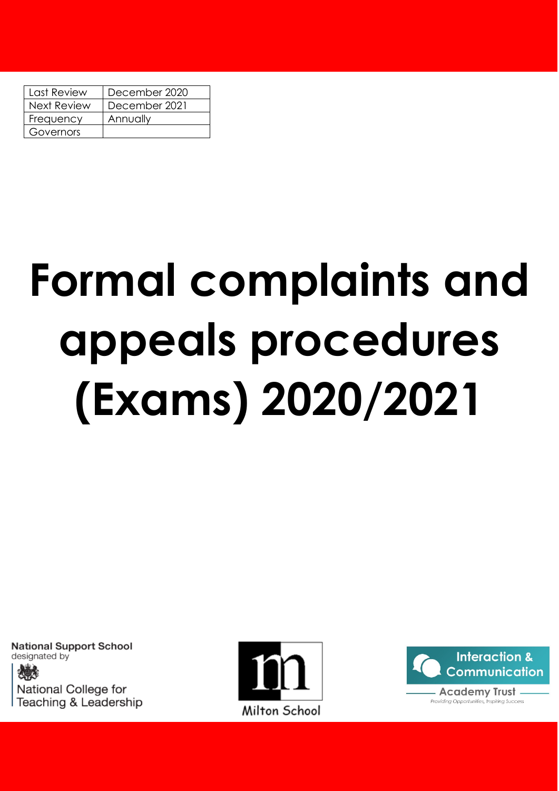| Last Review        | December 2020 |
|--------------------|---------------|
| <b>Next Review</b> | December 2021 |
| Frequency          | Annually      |
| Governors          |               |

# **Formal complaints and appeals procedures (Exams) 2020/2021**

**National Support School** designated by

National College for Teaching & Leadership



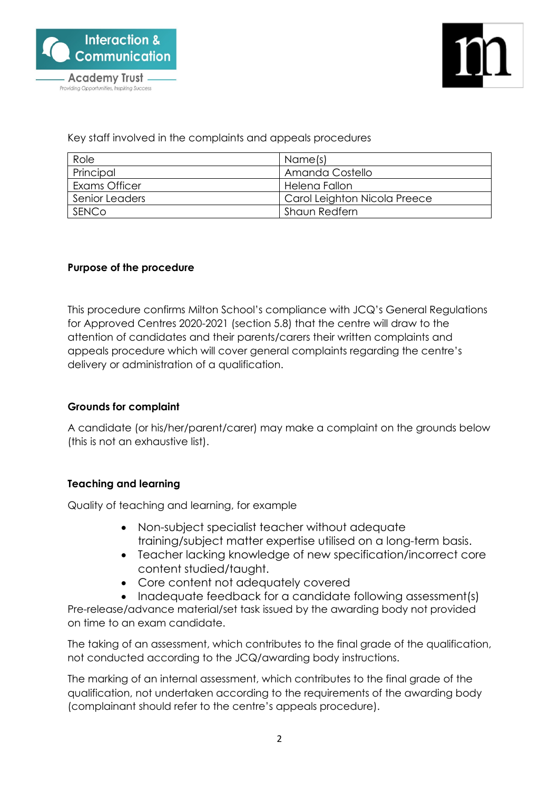



Key staff involved in the complaints and appeals procedures

| Role           | Name(s)                      |
|----------------|------------------------------|
| Principal      | Amanda Costello              |
| Exams Officer  | Helena Fallon                |
| Senior Leaders | Carol Leighton Nicola Preece |
| SENCo          | Shaun Redfern                |

#### **Purpose of the procedure**

This procedure confirms Milton School's compliance with JCQ's General Regulations for Approved Centres 2020-2021 (section 5.8) that the centre will draw to the attention of candidates and their parents/carers their written complaints and appeals procedure which will cover general complaints regarding the centre's delivery or administration of a qualification.

## **Grounds for complaint**

A candidate (or his/her/parent/carer) may make a complaint on the grounds below (this is not an exhaustive list).

## **Teaching and learning**

Quality of teaching and learning, for example

- Non-subject specialist teacher without adequate training/subject matter expertise utilised on a long-term basis.
- Teacher lacking knowledge of new specification/incorrect core content studied/taught.
- Core content not adequately covered
- Inadequate feedback for a candidate following assessment(s)

Pre-release/advance material/set task issued by the awarding body not provided on time to an exam candidate.

The taking of an assessment, which contributes to the final grade of the qualification, not conducted according to the JCQ/awarding body instructions.

The marking of an internal assessment, which contributes to the final grade of the qualification, not undertaken according to the requirements of the awarding body (complainant should refer to the centre's appeals procedure).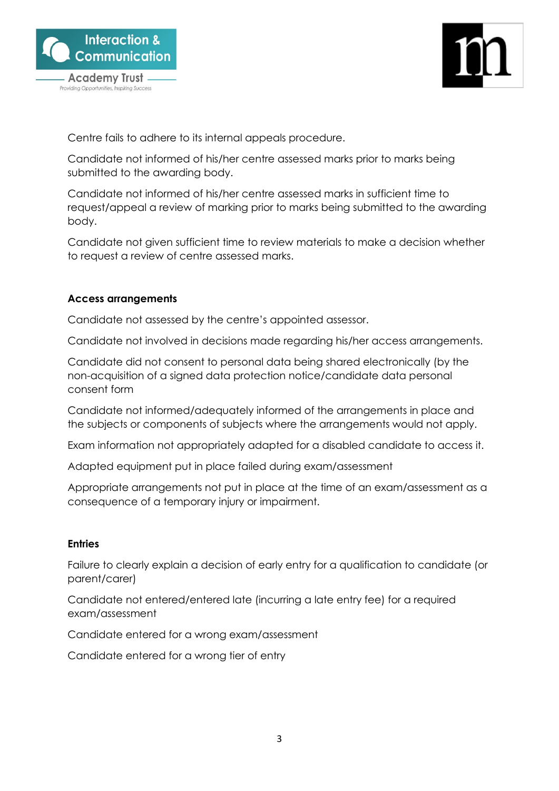

Providing Opportunities, Inspiring Success

Centre fails to adhere to its internal appeals procedure.

Candidate not informed of his/her centre assessed marks prior to marks being submitted to the awarding body.

Candidate not informed of his/her centre assessed marks in sufficient time to request/appeal a review of marking prior to marks being submitted to the awarding body.

Candidate not given sufficient time to review materials to make a decision whether to request a review of centre assessed marks.

#### **Access arrangements**

Candidate not assessed by the centre's appointed assessor.

Candidate not involved in decisions made regarding his/her access arrangements.

Candidate did not consent to personal data being shared electronically (by the non-acquisition of a signed data protection notice/candidate data personal consent form

Candidate not informed/adequately informed of the arrangements in place and the subjects or components of subjects where the arrangements would not apply.

Exam information not appropriately adapted for a disabled candidate to access it.

Adapted equipment put in place failed during exam/assessment

Appropriate arrangements not put in place at the time of an exam/assessment as a consequence of a temporary injury or impairment.

#### **Entries**

Failure to clearly explain a decision of early entry for a qualification to candidate (or parent/carer)

Candidate not entered/entered late (incurring a late entry fee) for a required exam/assessment

Candidate entered for a wrong exam/assessment

Candidate entered for a wrong tier of entry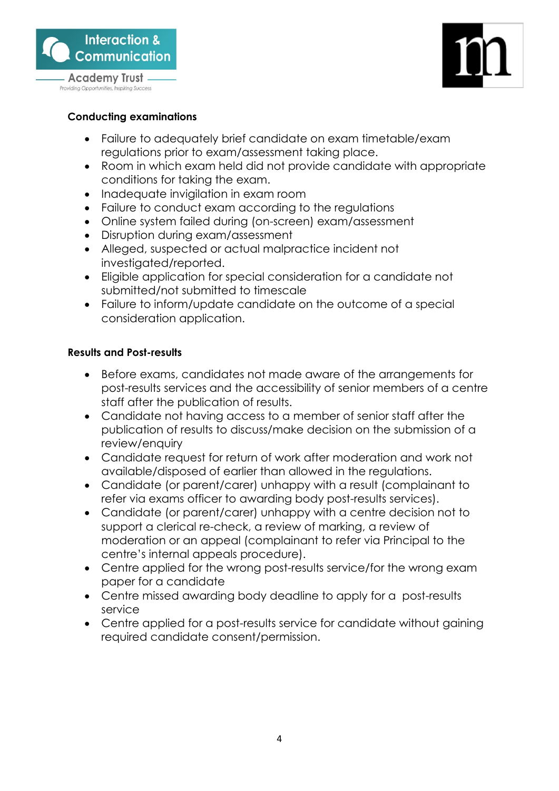

Providing Opportunities, Inspiring Success



# **Conducting examinations**

- Failure to adequately brief candidate on exam timetable/exam regulations prior to exam/assessment taking place.
- Room in which exam held did not provide candidate with appropriate conditions for taking the exam.
- Inadequate invigilation in exam room
- Failure to conduct exam according to the regulations
- Online system failed during (on-screen) exam/assessment
- Disruption during exam/assessment
- Alleged, suspected or actual malpractice incident not investigated/reported.
- Eligible application for special consideration for a candidate not submitted/not submitted to timescale
- Failure to inform/update candidate on the outcome of a special consideration application.

# **Results and Post-results**

- Before exams, candidates not made aware of the arrangements for post-results services and the accessibility of senior members of a centre staff after the publication of results.
- Candidate not having access to a member of senior staff after the publication of results to discuss/make decision on the submission of a review/enquiry
- Candidate request for return of work after moderation and work not available/disposed of earlier than allowed in the regulations.
- Candidate (or parent/carer) unhappy with a result (complainant to refer via exams officer to awarding body post-results services).
- Candidate (or parent/carer) unhappy with a centre decision not to support a clerical re-check, a review of marking, a review of moderation or an appeal (complainant to refer via Principal to the centre's internal appeals procedure).
- Centre applied for the wrong post-results service/for the wrong exam paper for a candidate
- Centre missed awarding body deadline to apply for a post-results service
- Centre applied for a post-results service for candidate without gaining required candidate consent/permission.